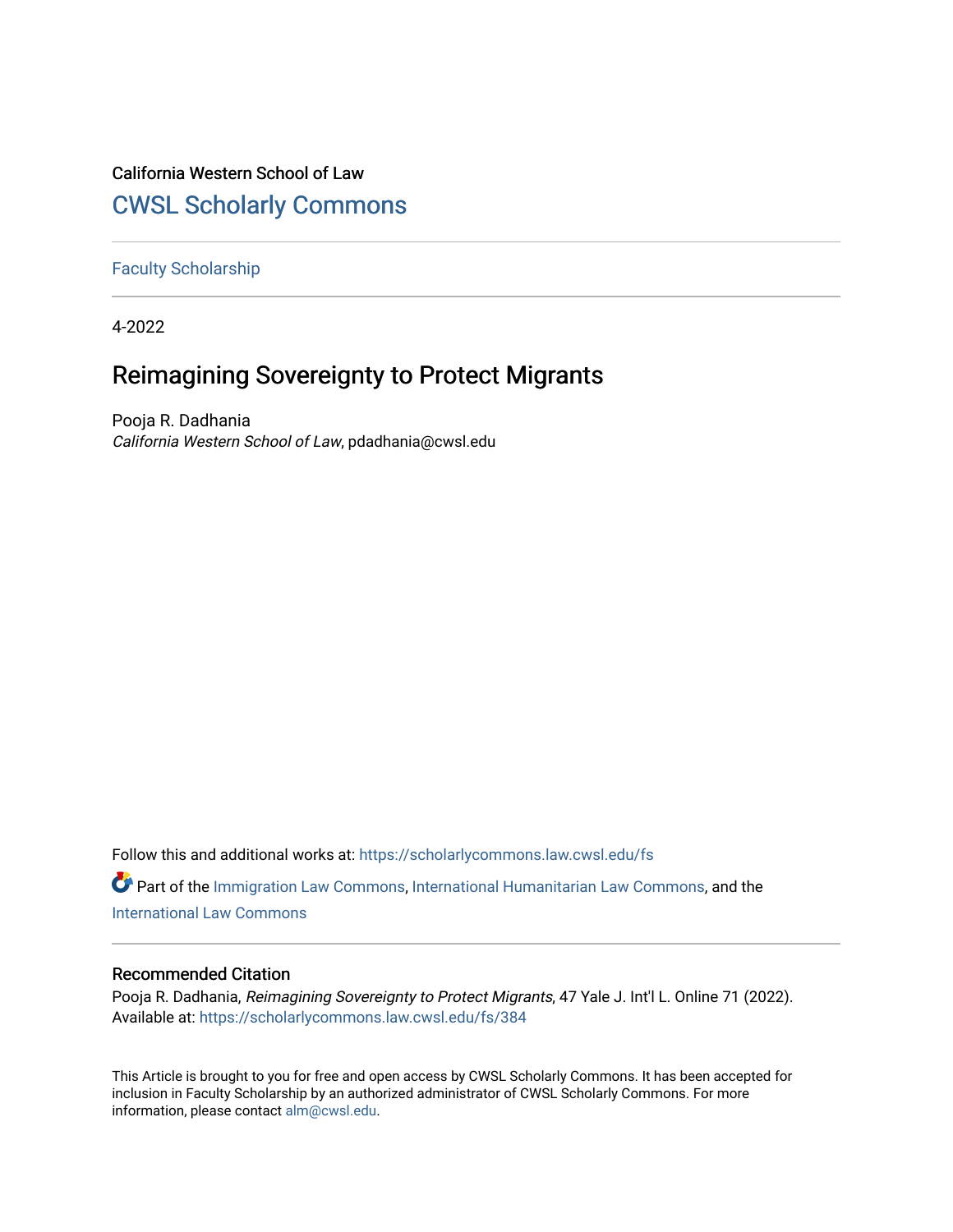## California Western School of Law

## [CWSL Scholarly Commons](https://scholarlycommons.law.cwsl.edu/)

#### [Faculty Scholarship](https://scholarlycommons.law.cwsl.edu/fs)

4-2022

## Reimagining Sovereignty to Protect Migrants

Pooja R. Dadhania California Western School of Law, pdadhania@cwsl.edu

Follow this and additional works at: [https://scholarlycommons.law.cwsl.edu/fs](https://scholarlycommons.law.cwsl.edu/fs?utm_source=scholarlycommons.law.cwsl.edu%2Ffs%2F384&utm_medium=PDF&utm_campaign=PDFCoverPages)

Part of the [Immigration Law Commons](https://network.bepress.com/hgg/discipline/604?utm_source=scholarlycommons.law.cwsl.edu%2Ffs%2F384&utm_medium=PDF&utm_campaign=PDFCoverPages), [International Humanitarian Law Commons,](https://network.bepress.com/hgg/discipline/1330?utm_source=scholarlycommons.law.cwsl.edu%2Ffs%2F384&utm_medium=PDF&utm_campaign=PDFCoverPages) and the [International Law Commons](https://network.bepress.com/hgg/discipline/609?utm_source=scholarlycommons.law.cwsl.edu%2Ffs%2F384&utm_medium=PDF&utm_campaign=PDFCoverPages)

#### Recommended Citation

Pooja R. Dadhania, Reimagining Sovereignty to Protect Migrants, 47 Yale J. Int'l L. Online 71 (2022). Available at: [https://scholarlycommons.law.cwsl.edu/fs/384](https://scholarlycommons.law.cwsl.edu/fs/384?utm_source=scholarlycommons.law.cwsl.edu%2Ffs%2F384&utm_medium=PDF&utm_campaign=PDFCoverPages) 

This Article is brought to you for free and open access by CWSL Scholarly Commons. It has been accepted for inclusion in Faculty Scholarship by an authorized administrator of CWSL Scholarly Commons. For more information, please contact [alm@cwsl.edu](mailto:alm@cwsl.edu).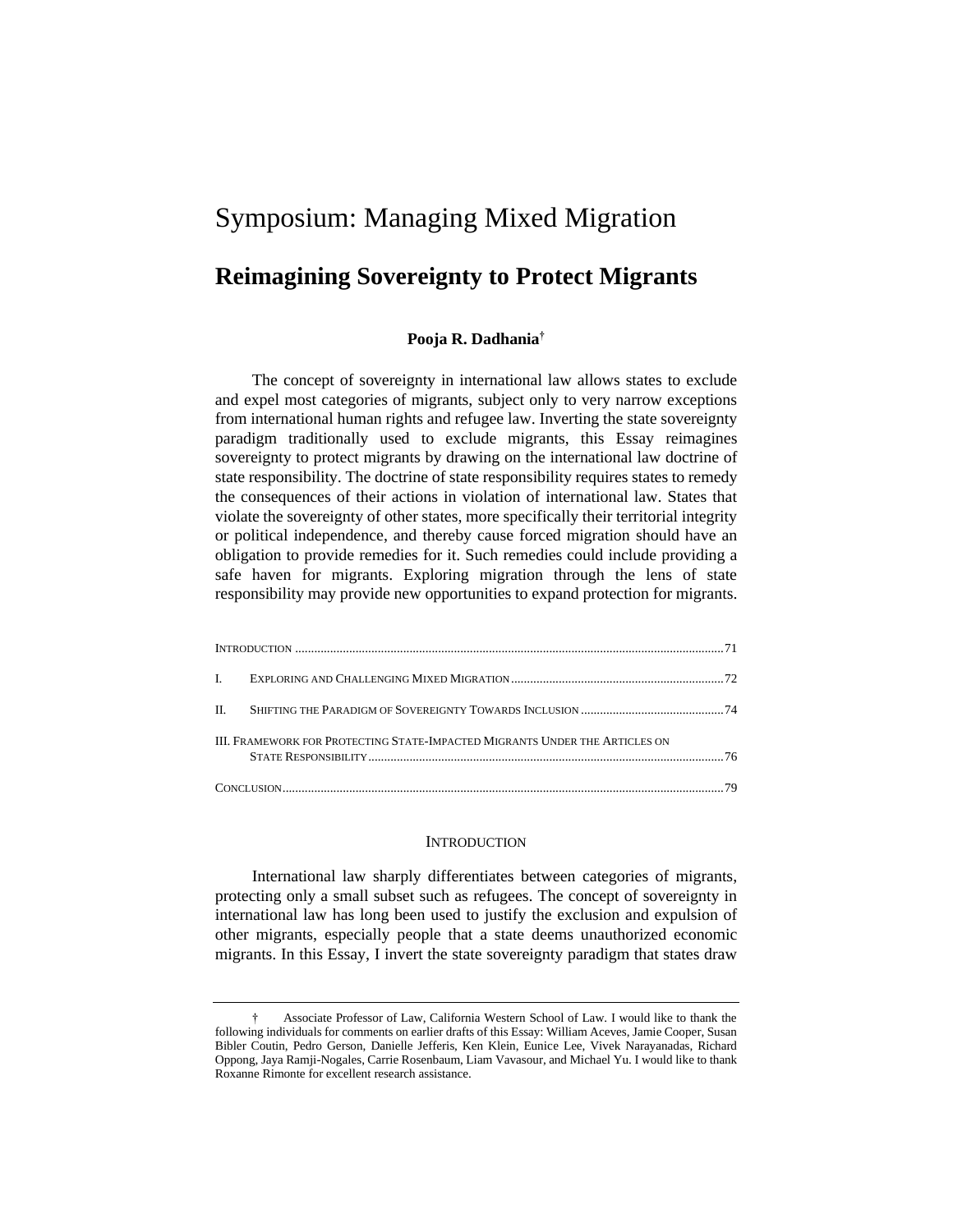# Symposium: Managing Mixed Migration

### **Reimagining Sovereignty to Protect Migrants**

#### **Pooja R. Dadhania†**

The concept of sovereignty in international law allows states to exclude and expel most categories of migrants, subject only to very narrow exceptions from international human rights and refugee law. Inverting the state sovereignty paradigm traditionally used to exclude migrants, this Essay reimagines sovereignty to protect migrants by drawing on the international law doctrine of state responsibility. The doctrine of state responsibility requires states to remedy the consequences of their actions in violation of international law. States that violate the sovereignty of other states, more specifically their territorial integrity or political independence, and thereby cause forced migration should have an obligation to provide remedies for it. Such remedies could include providing a safe haven for migrants. Exploring migration through the lens of state responsibility may provide new opportunities to expand protection for migrants.

| III. FRAMEWORK FOR PROTECTING STATE-IMPACTED MIGRANTS UNDER THE ARTICLES ON |  |
|-----------------------------------------------------------------------------|--|
|                                                                             |  |

#### **INTRODUCTION**

International law sharply differentiates between categories of migrants, protecting only a small subset such as refugees. The concept of sovereignty in international law has long been used to justify the exclusion and expulsion of other migrants, especially people that a state deems unauthorized economic migrants. In this Essay, I invert the state sovereignty paradigm that states draw

<sup>†</sup> Associate Professor of Law, California Western School of Law. I would like to thank the following individuals for comments on earlier drafts of this Essay: William Aceves, Jamie Cooper, Susan Bibler Coutin, Pedro Gerson, Danielle Jefferis, Ken Klein, Eunice Lee, Vivek Narayanadas, Richard Oppong, Jaya Ramji-Nogales, Carrie Rosenbaum, Liam Vavasour, and Michael Yu. I would like to thank Roxanne Rimonte for excellent research assistance.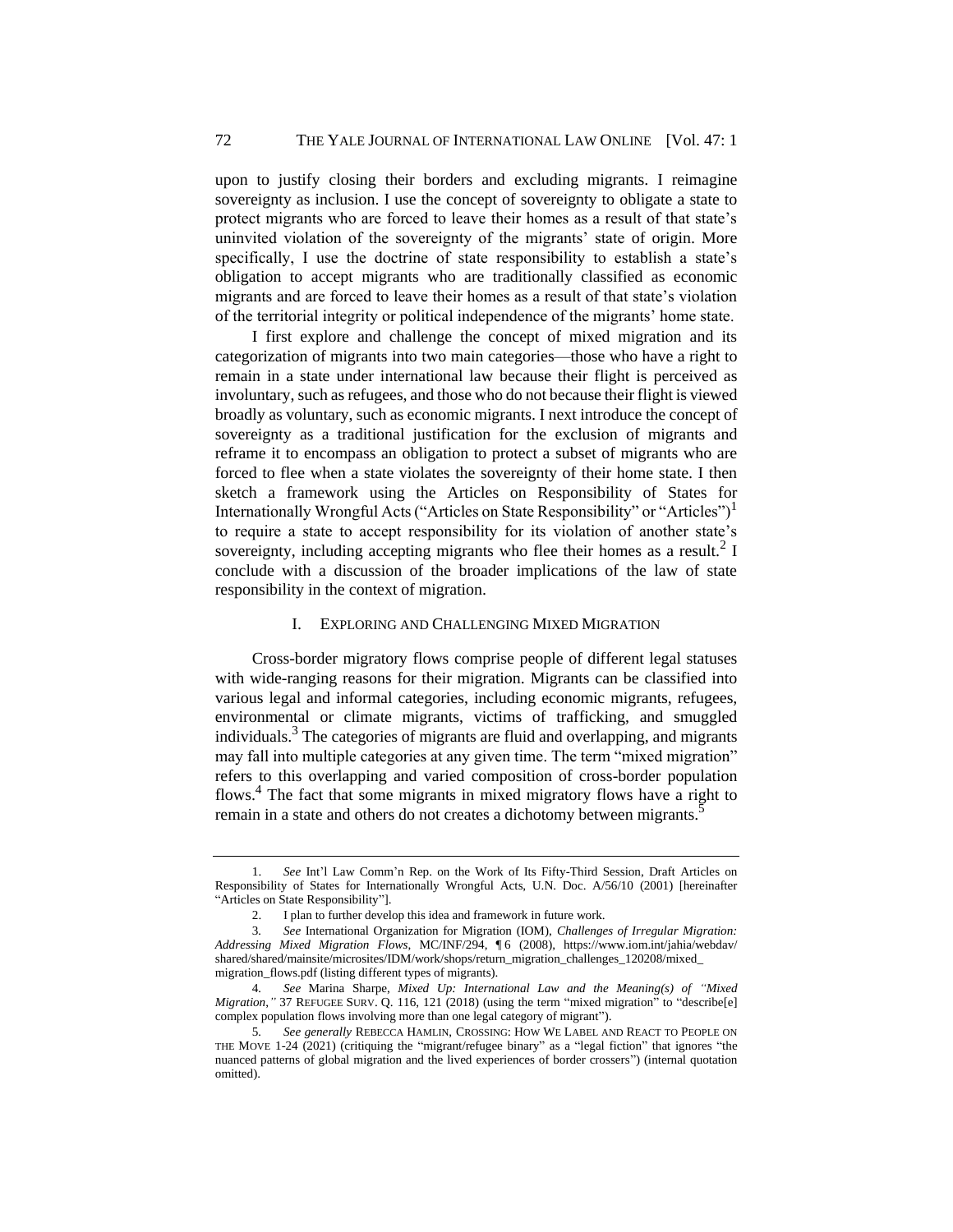upon to justify closing their borders and excluding migrants. I reimagine sovereignty as inclusion. I use the concept of sovereignty to obligate a state to protect migrants who are forced to leave their homes as a result of that state's uninvited violation of the sovereignty of the migrants' state of origin. More specifically, I use the doctrine of state responsibility to establish a state's obligation to accept migrants who are traditionally classified as economic migrants and are forced to leave their homes as a result of that state's violation of the territorial integrity or political independence of the migrants' home state.

I first explore and challenge the concept of mixed migration and its categorization of migrants into two main categories—those who have a right to remain in a state under international law because their flight is perceived as involuntary, such as refugees, and those who do not because their flight is viewed broadly as voluntary, such as economic migrants. I next introduce the concept of sovereignty as a traditional justification for the exclusion of migrants and reframe it to encompass an obligation to protect a subset of migrants who are forced to flee when a state violates the sovereignty of their home state. I then sketch a framework using the Articles on Responsibility of States for Internationally Wrongful Acts ("Articles on State Responsibility" or "Articles")<sup>1</sup> to require a state to accept responsibility for its violation of another state's sovereignty, including accepting migrants who flee their homes as a result.<sup>2</sup> I conclude with a discussion of the broader implications of the law of state responsibility in the context of migration.

#### I. EXPLORING AND CHALLENGING MIXED MIGRATION

Cross-border migratory flows comprise people of different legal statuses with wide-ranging reasons for their migration. Migrants can be classified into various legal and informal categories, including economic migrants, refugees, environmental or climate migrants, victims of trafficking, and smuggled individuals. $3$  The categories of migrants are fluid and overlapping, and migrants may fall into multiple categories at any given time. The term "mixed migration" refers to this overlapping and varied composition of cross-border population flows.<sup>4</sup> The fact that some migrants in mixed migratory flows have a right to remain in a state and others do not creates a dichotomy between migrants.<sup>5</sup>

<sup>1.</sup> *See* Int'l Law Comm'n Rep. on the Work of Its Fifty-Third Session, Draft Articles on Responsibility of States for Internationally Wrongful Acts, U.N. Doc. A/56/10 (2001) [hereinafter "Articles on State Responsibility"].

<sup>2.</sup> I plan to further develop this idea and framework in future work.

<sup>3</sup>*. See* International Organization for Migration (IOM), *Challenges of Irregular Migration: Addressing Mixed Migration Flows*, MC/INF/294, ¶ 6 (2008), https://www.iom.int/jahia/webdav/ shared/shared/mainsite/microsites/IDM/work/shops/return\_migration\_challenges\_120208/mixed\_ migration\_flows.pdf (listing different types of migrants).

<sup>4</sup>*. See* Marina Sharpe, *Mixed Up: International Law and the Meaning(s) of "Mixed Migration*," 37 REFUGEE SURV. Q. 116, 121 (2018) (using the term "mixed migration" to "describe[e] complex population flows involving more than one legal category of migrant").

<sup>5</sup>*. See generally* REBECCA HAMLIN, CROSSING: HOW WE LABEL AND REACT TO PEOPLE ON THE MOVE 1-24 (2021) (critiquing the "migrant/refugee binary" as a "legal fiction" that ignores "the nuanced patterns of global migration and the lived experiences of border crossers") (internal quotation omitted).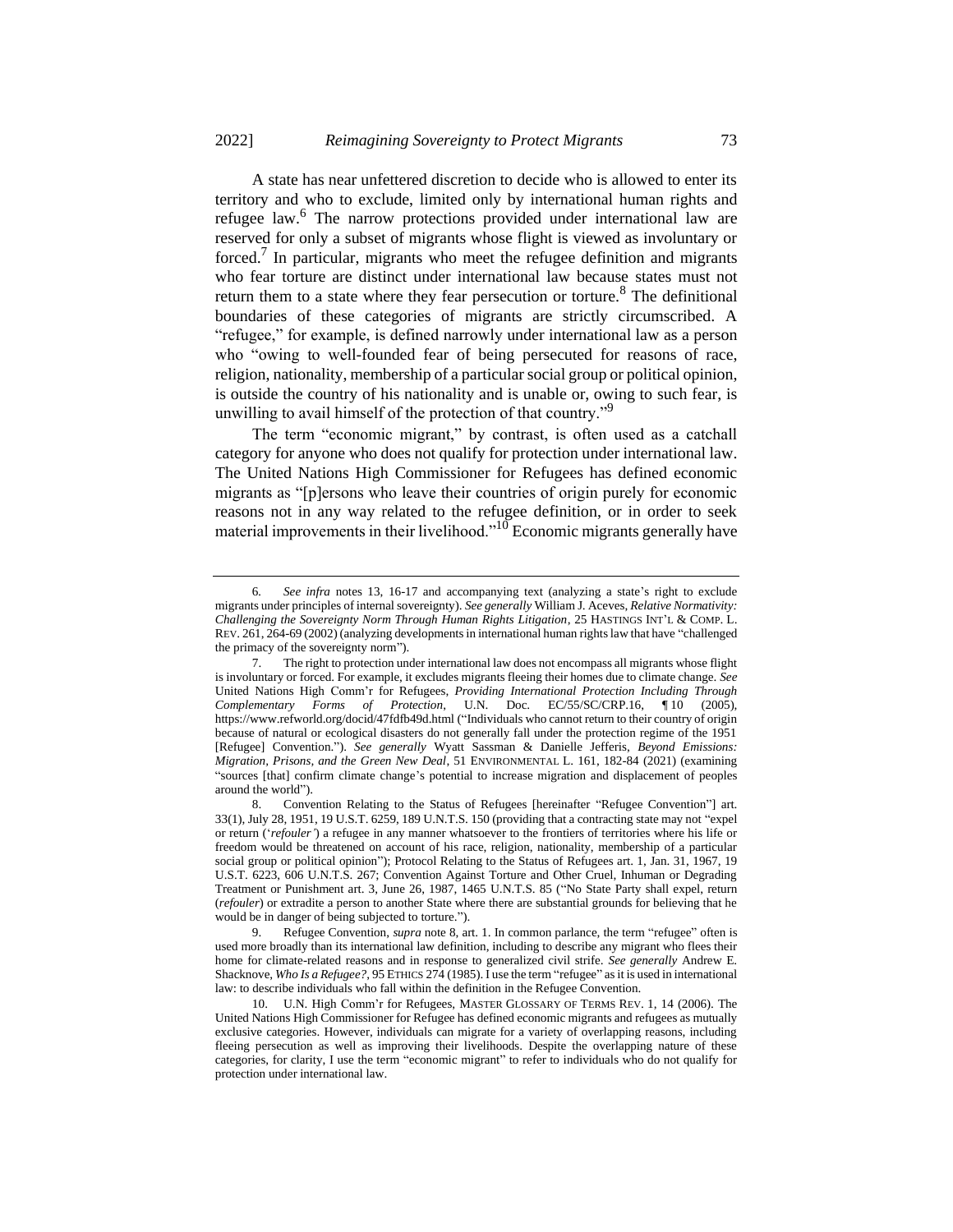A state has near unfettered discretion to decide who is allowed to enter its territory and who to exclude, limited only by international human rights and refugee law.<sup>6</sup> The narrow protections provided under international law are reserved for only a subset of migrants whose flight is viewed as involuntary or forced.<sup>7</sup> In particular, migrants who meet the refugee definition and migrants who fear torture are distinct under international law because states must not return them to a state where they fear persecution or torture.<sup>8</sup> The definitional boundaries of these categories of migrants are strictly circumscribed. A "refugee," for example, is defined narrowly under international law as a person who "owing to well-founded fear of being persecuted for reasons of race, religion, nationality, membership of a particular social group or political opinion, is outside the country of his nationality and is unable or, owing to such fear, is unwilling to avail himself of the protection of that country."<sup>9</sup>

The term "economic migrant," by contrast, is often used as a catchall category for anyone who does not qualify for protection under international law. The United Nations High Commissioner for Refugees has defined economic migrants as "[p]ersons who leave their countries of origin purely for economic reasons not in any way related to the refugee definition, or in order to seek material improvements in their livelihood.<sup> $10$ </sup> Economic migrants generally have

<sup>6</sup>*. See infra* notes 13, 16-17 and accompanying text (analyzing a state's right to exclude migrants under principles of internal sovereignty). *See generally* William J. Aceves, *Relative Normativity: Challenging the Sovereignty Norm Through Human Rights Litigation*, 25 HASTINGS INT'L & COMP. L. REV. 261, 264-69 (2002) (analyzing developments in international human rights law that have "challenged the primacy of the sovereignty norm").

<sup>7.</sup> The right to protection under international law does not encompass all migrants whose flight is involuntary or forced. For example, it excludes migrants fleeing their homes due to climate change. *See*  United Nations High Comm'r for Refugees, *Providing International Protection Including Through Complementary Forms of Protection*, U.N. Doc. EC/55/SC/CRP.16, ¶ 10 (2005), https://www.refworld.org/docid/47fdfb49d.html ("Individuals who cannot return to their country of origin because of natural or ecological disasters do not generally fall under the protection regime of the 1951 [Refugee] Convention."). *See generally* Wyatt Sassman & Danielle Jefferis, *Beyond Emissions: Migration, Prisons, and the Green New Deal*, 51 ENVIRONMENTAL L. 161, 182-84 (2021) (examining "sources [that] confirm climate change's potential to increase migration and displacement of peoples around the world").

<sup>8.</sup> Convention Relating to the Status of Refugees [hereinafter "Refugee Convention"] art. 33(1), July 28, 1951, 19 U.S.T. 6259, 189 U.N.T.S. 150 (providing that a contracting state may not "expel or return ('*refouler'*) a refugee in any manner whatsoever to the frontiers of territories where his life or freedom would be threatened on account of his race, religion, nationality, membership of a particular social group or political opinion"); Protocol Relating to the Status of Refugees art. 1, Jan. 31, 1967, 19 U.S.T. 6223, 606 U.N.T.S. 267; Convention Against Torture and Other Cruel, Inhuman or Degrading Treatment or Punishment art. 3, June 26, 1987, 1465 U.N.T.S. 85 ("No State Party shall expel, return (*refouler*) or extradite a person to another State where there are substantial grounds for believing that he would be in danger of being subjected to torture.").

<sup>9.</sup> Refugee Convention, *supra* note 8, art. 1. In common parlance, the term "refugee" often is used more broadly than its international law definition, including to describe any migrant who flees their home for climate-related reasons and in response to generalized civil strife. *See generally* Andrew E. Shacknove, *Who Is a Refugee?*, 95 ETHICS 274 (1985). I use the term "refugee" as it is used in international law: to describe individuals who fall within the definition in the Refugee Convention.

<sup>10.</sup> U.N. High Comm'r for Refugees, MASTER GLOSSARY OF TERMS REV. 1, 14 (2006). The United Nations High Commissioner for Refugee has defined economic migrants and refugees as mutually exclusive categories. However, individuals can migrate for a variety of overlapping reasons, including fleeing persecution as well as improving their livelihoods. Despite the overlapping nature of these categories, for clarity, I use the term "economic migrant" to refer to individuals who do not qualify for protection under international law.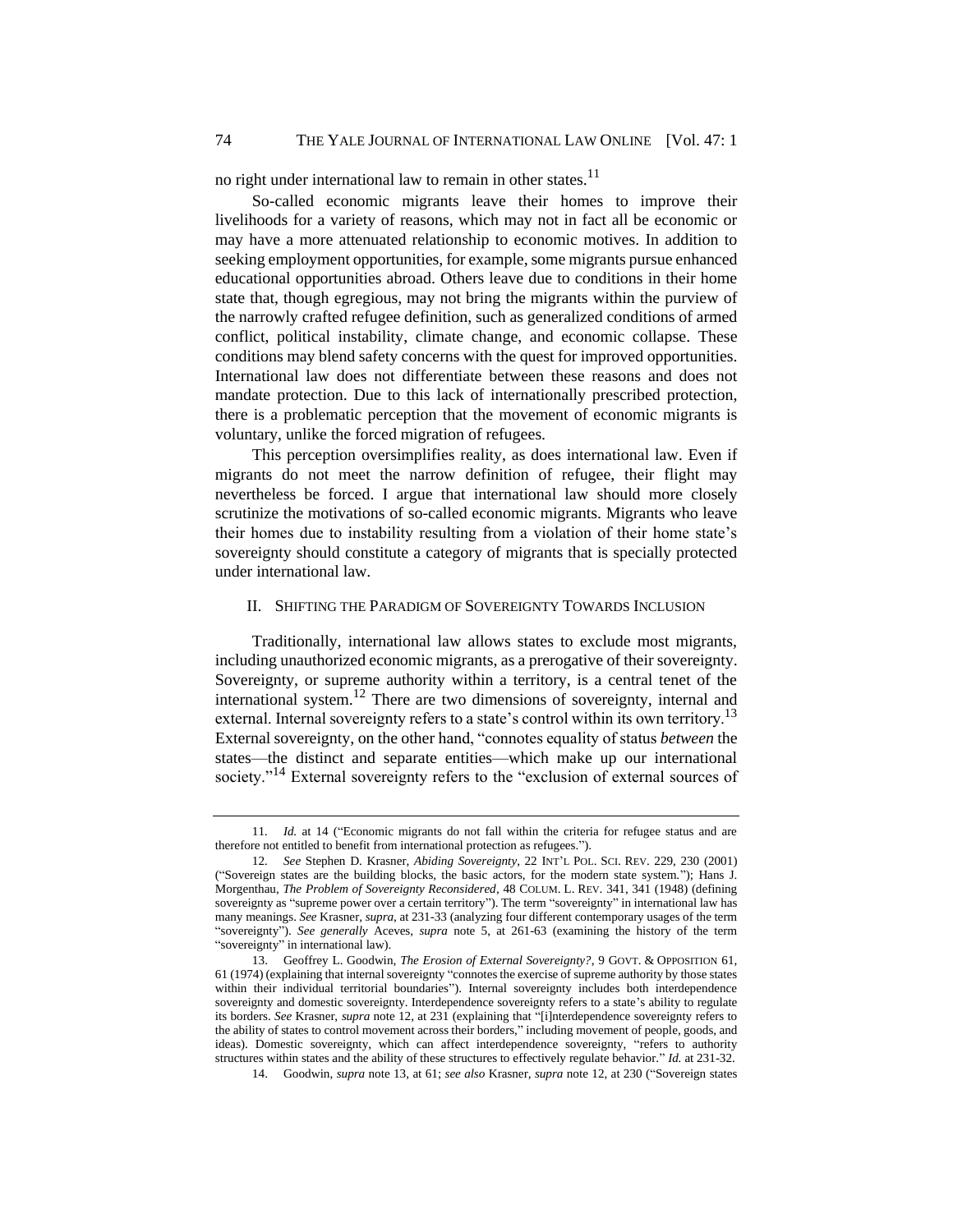no right under international law to remain in other states. $11$ 

So-called economic migrants leave their homes to improve their livelihoods for a variety of reasons, which may not in fact all be economic or may have a more attenuated relationship to economic motives. In addition to seeking employment opportunities, for example, some migrants pursue enhanced educational opportunities abroad. Others leave due to conditions in their home state that, though egregious, may not bring the migrants within the purview of the narrowly crafted refugee definition, such as generalized conditions of armed conflict, political instability, climate change, and economic collapse. These conditions may blend safety concerns with the quest for improved opportunities. International law does not differentiate between these reasons and does not mandate protection. Due to this lack of internationally prescribed protection, there is a problematic perception that the movement of economic migrants is voluntary, unlike the forced migration of refugees.

This perception oversimplifies reality, as does international law. Even if migrants do not meet the narrow definition of refugee, their flight may nevertheless be forced. I argue that international law should more closely scrutinize the motivations of so-called economic migrants. Migrants who leave their homes due to instability resulting from a violation of their home state's sovereignty should constitute a category of migrants that is specially protected under international law.

#### II. SHIFTING THE PARADIGM OF SOVEREIGNTY TOWARDS INCLUSION

Traditionally, international law allows states to exclude most migrants, including unauthorized economic migrants, as a prerogative of their sovereignty. Sovereignty, or supreme authority within a territory, is a central tenet of the international system.<sup>12</sup> There are two dimensions of sovereignty, internal and external. Internal sovereignty refers to a state's control within its own territory.<sup>13</sup> External sovereignty, on the other hand, "connotes equality of status *between* the states—the distinct and separate entities—which make up our international society."<sup>14</sup> External sovereignty refers to the "exclusion of external sources of

14. Goodwin, *supra* note 13, at 61; *see also* Krasner*, supra* note 12, at 230 ("Sovereign states

<sup>11</sup>*. Id.* at 14 ("Economic migrants do not fall within the criteria for refugee status and are therefore not entitled to benefit from international protection as refugees.").

<sup>12</sup>*. See* Stephen D. Krasner, *Abiding Sovereignty*, 22 INT'L POL. SCI. REV. 229, 230 (2001) ("Sovereign states are the building blocks, the basic actors, for the modern state system."); Hans J. Morgenthau, *The Problem of Sovereignty Reconsidered*, 48 COLUM. L. REV. 341, 341 (1948) (defining sovereignty as "supreme power over a certain territory"). The term "sovereignty" in international law has many meanings. *See* Krasner, *supra*, at 231-33 (analyzing four different contemporary usages of the term "sovereignty"). *See generally* Aceves, *supra* note 5, at 261-63 (examining the history of the term "sovereignty" in international law).

<sup>13.</sup> Geoffrey L. Goodwin, *The Erosion of External Sovereignty?*, 9 GOVT. & OPPOSITION 61, 61 (1974) (explaining that internal sovereignty "connotes the exercise of supreme authority by those states within their individual territorial boundaries"). Internal sovereignty includes both interdependence sovereignty and domestic sovereignty. Interdependence sovereignty refers to a state's ability to regulate its borders. *See* Krasner, *supra* note 12, at 231 (explaining that "[i]nterdependence sovereignty refers to the ability of states to control movement across their borders," including movement of people, goods, and ideas). Domestic sovereignty, which can affect interdependence sovereignty, "refers to authority structures within states and the ability of these structures to effectively regulate behavior." *Id.* at 231-32.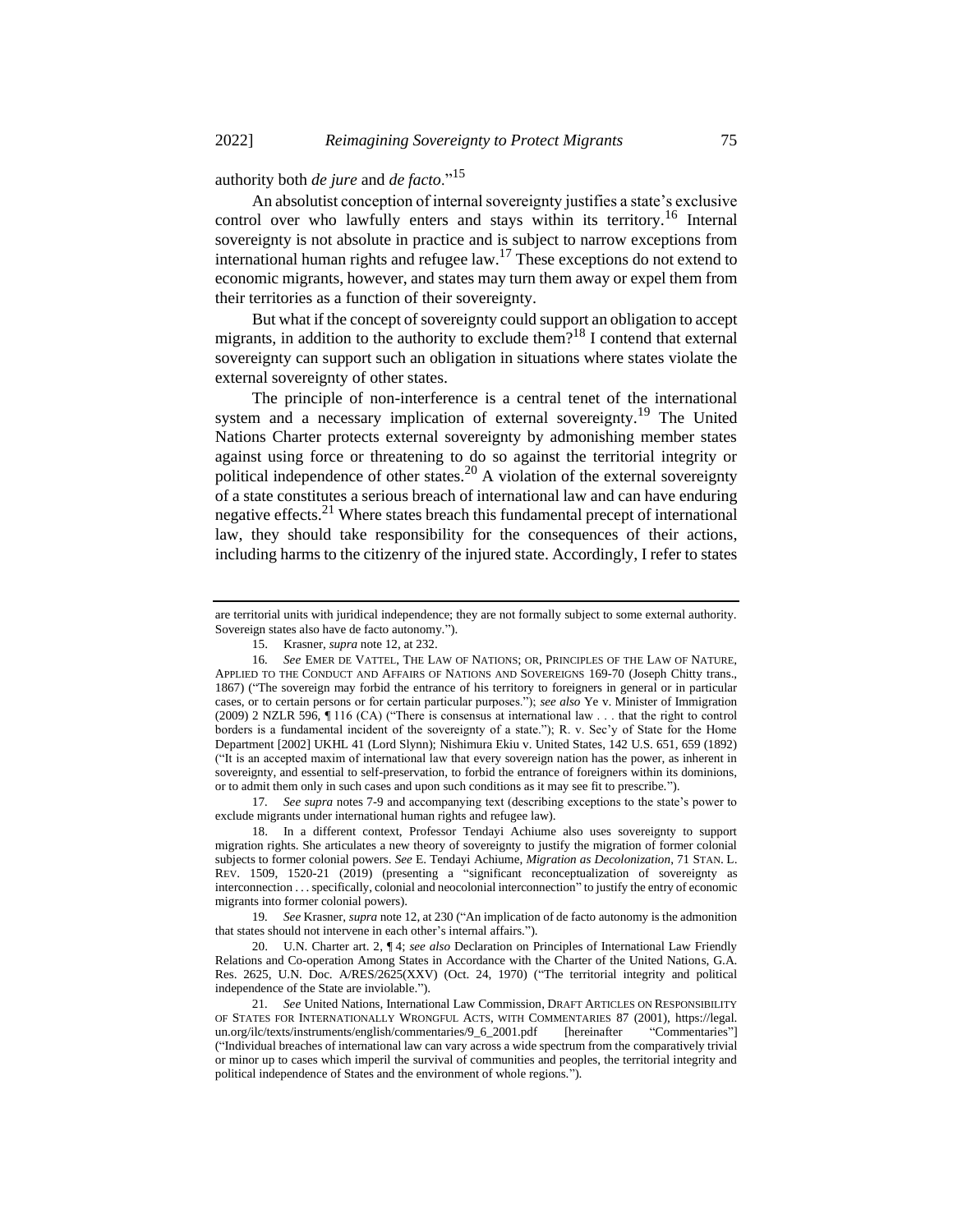authority both *de jure* and *de facto*."<sup>15</sup>

An absolutist conception of internal sovereignty justifies a state's exclusive control over who lawfully enters and stays within its territory.<sup>16</sup> Internal sovereignty is not absolute in practice and is subject to narrow exceptions from international human rights and refugee law.<sup>17</sup> These exceptions do not extend to economic migrants, however, and states may turn them away or expel them from their territories as a function of their sovereignty.

But what if the concept of sovereignty could support an obligation to accept migrants, in addition to the authority to exclude them?<sup>18</sup> I contend that external sovereignty can support such an obligation in situations where states violate the external sovereignty of other states.

The principle of non-interference is a central tenet of the international system and a necessary implication of external sovereignty.<sup>19</sup> The United Nations Charter protects external sovereignty by admonishing member states against using force or threatening to do so against the territorial integrity or political independence of other states.<sup>20</sup> A violation of the external sovereignty of a state constitutes a serious breach of international law and can have enduring negative effects.<sup>21</sup> Where states breach this fundamental precept of international law, they should take responsibility for the consequences of their actions, including harms to the citizenry of the injured state. Accordingly, I refer to states

17*. See supra* notes 7-9 and accompanying text (describing exceptions to the state's power to exclude migrants under international human rights and refugee law).

19*. See* Krasner, *supra* note 12, at 230 ("An implication of de facto autonomy is the admonition that states should not intervene in each other's internal affairs.").

20. U.N. Charter art. 2, ¶ 4; *see also* Declaration on Principles of International Law Friendly Relations and Co-operation Among States in Accordance with the Charter of the United Nations, G.A. Res. 2625, U.N. Doc. A/RES/2625(XXV) (Oct. 24, 1970) ("The territorial integrity and political independence of the State are inviolable.").

are territorial units with juridical independence; they are not formally subject to some external authority. Sovereign states also have de facto autonomy.").

<sup>15.</sup> Krasner, *supra* note 12, at 232.

<sup>16</sup>*. See* EMER DE VATTEL, THE LAW OF NATIONS; OR, PRINCIPLES OF THE LAW OF NATURE, APPLIED TO THE CONDUCT AND AFFAIRS OF NATIONS AND SOVEREIGNS 169-70 (Joseph Chitty trans., 1867) ("The sovereign may forbid the entrance of his territory to foreigners in general or in particular cases, or to certain persons or for certain particular purposes."); *see also* Ye v. Minister of Immigration (2009) 2 NZLR 596, ¶ 116 (CA) ("There is consensus at international law . . . that the right to control borders is a fundamental incident of the sovereignty of a state."); R. v. Sec'y of State for the Home Department [2002] UKHL 41 (Lord Slynn); Nishimura Ekiu v. United States, 142 U.S. 651, 659 (1892) ("It is an accepted maxim of international law that every sovereign nation has the power, as inherent in sovereignty, and essential to self-preservation, to forbid the entrance of foreigners within its dominions, or to admit them only in such cases and upon such conditions as it may see fit to prescribe.").

<sup>18.</sup> In a different context, Professor Tendayi Achiume also uses sovereignty to support migration rights. She articulates a new theory of sovereignty to justify the migration of former colonial subjects to former colonial powers. *See* E. Tendayi Achiume, *Migration as Decolonization*, 71 STAN. L. REV. 1509, 1520-21 (2019) (presenting a "significant reconceptualization of sovereignty as interconnection . . . specifically, colonial and neocolonial interconnection" to justify the entry of economic migrants into former colonial powers).

<sup>21</sup>*. See* United Nations, International Law Commission, DRAFT ARTICLES ON RESPONSIBILITY OF STATES FOR INTERNATIONALLY WRONGFUL ACTS, WITH COMMENTARIES 87 (2001), https://legal.<br>un.org/ilc/texts/instruments/english/commentaries/9\_6\_2001.pdf [hereinafter "Commentaries"] un.org/ilc/texts/instruments/english/commentaries/9\_6\_2001.pdf [hereinafter "Commentaries"] ("Individual breaches of international law can vary across a wide spectrum from the comparatively trivial or minor up to cases which imperil the survival of communities and peoples, the territorial integrity and political independence of States and the environment of whole regions.").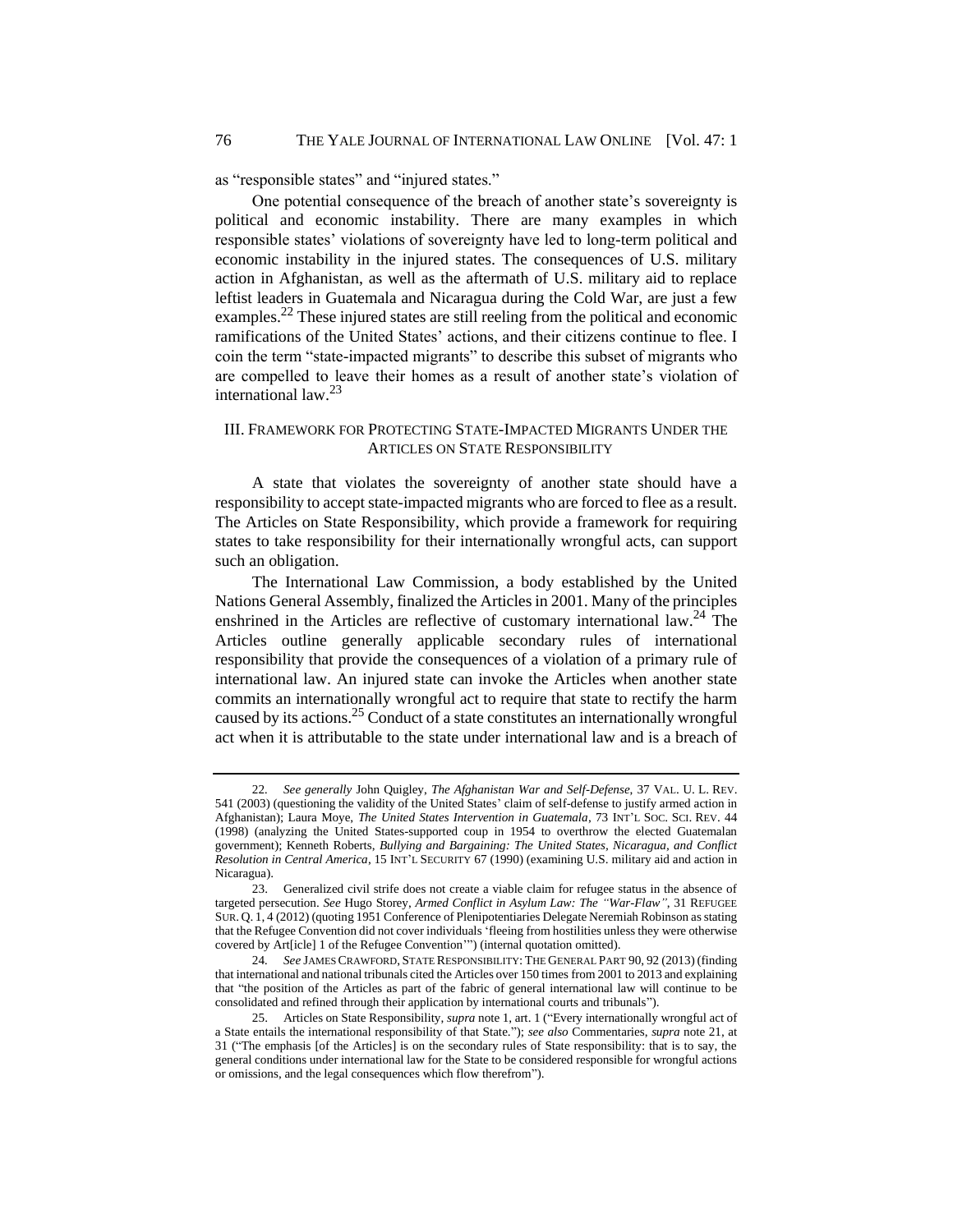as "responsible states" and "injured states."

One potential consequence of the breach of another state's sovereignty is political and economic instability. There are many examples in which responsible states' violations of sovereignty have led to long-term political and economic instability in the injured states. The consequences of U.S. military action in Afghanistan, as well as the aftermath of U.S. military aid to replace leftist leaders in Guatemala and Nicaragua during the Cold War, are just a few examples.<sup>22</sup> These injured states are still reeling from the political and economic ramifications of the United States' actions, and their citizens continue to flee. I coin the term "state-impacted migrants" to describe this subset of migrants who are compelled to leave their homes as a result of another state's violation of international law.<sup>23</sup>

#### III. FRAMEWORK FOR PROTECTING STATE-IMPACTED MIGRANTS UNDER THE ARTICLES ON STATE RESPONSIBILITY

A state that violates the sovereignty of another state should have a responsibility to accept state-impacted migrants who are forced to flee as a result. The Articles on State Responsibility, which provide a framework for requiring states to take responsibility for their internationally wrongful acts, can support such an obligation.

<span id="page-6-0"></span>The International Law Commission, a body established by the United Nations General Assembly, finalized the Articles in 2001. Many of the principles enshrined in the Articles are reflective of customary international law.<sup>24</sup> The Articles outline generally applicable secondary rules of international responsibility that provide the consequences of a violation of a primary rule of international law. An injured state can invoke the Articles when another state commits an internationally wrongful act to require that state to rectify the harm caused by its actions.<sup>25</sup> Conduct of a state constitutes an internationally wrongful act when it is attributable to the state under international law and is a breach of

<sup>22</sup>*. See generally* John Quigley, *The Afghanistan War and Self-Defense*, 37 VAL. U. L. REV. 541 (2003) (questioning the validity of the United States' claim of self-defense to justify armed action in Afghanistan); Laura Moye, *The United States Intervention in Guatemala*, 73 INT'L SOC. SCI. REV. 44 (1998) (analyzing the United States-supported coup in 1954 to overthrow the elected Guatemalan government); Kenneth Roberts, *Bullying and Bargaining: The United States, Nicaragua, and Conflict Resolution in Central America*, 15 INT'L SECURITY 67 (1990) (examining U.S. military aid and action in Nicaragua).

<sup>23.</sup> Generalized civil strife does not create a viable claim for refugee status in the absence of targeted persecution. *See* Hugo Storey, *Armed Conflict in Asylum Law: The "War-Flaw"*, 31 REFUGEE SUR. Q. 1, 4 (2012) (quoting 1951 Conference of Plenipotentiaries Delegate Neremiah Robinson as stating that the Refugee Convention did not cover individuals 'fleeing from hostilities unless they were otherwise covered by Art[icle] 1 of the Refugee Convention'") (internal quotation omitted).

<sup>24</sup>*. See* JAMES CRAWFORD, STATE RESPONSIBILITY: THE GENERAL PART 90, 92 (2013) (finding that international and national tribunals cited the Articles over 150 times from 2001 to 2013 and explaining that "the position of the Articles as part of the fabric of general international law will continue to be consolidated and refined through their application by international courts and tribunals").

<sup>25.</sup> Articles on State Responsibility, *supra* note 1, art. 1 ("Every internationally wrongful act of a State entails the international responsibility of that State."); *see also* Commentaries, *supra* note 21, at 31 ("The emphasis [of the Articles] is on the secondary rules of State responsibility: that is to say, the general conditions under international law for the State to be considered responsible for wrongful actions or omissions, and the legal consequences which flow therefrom").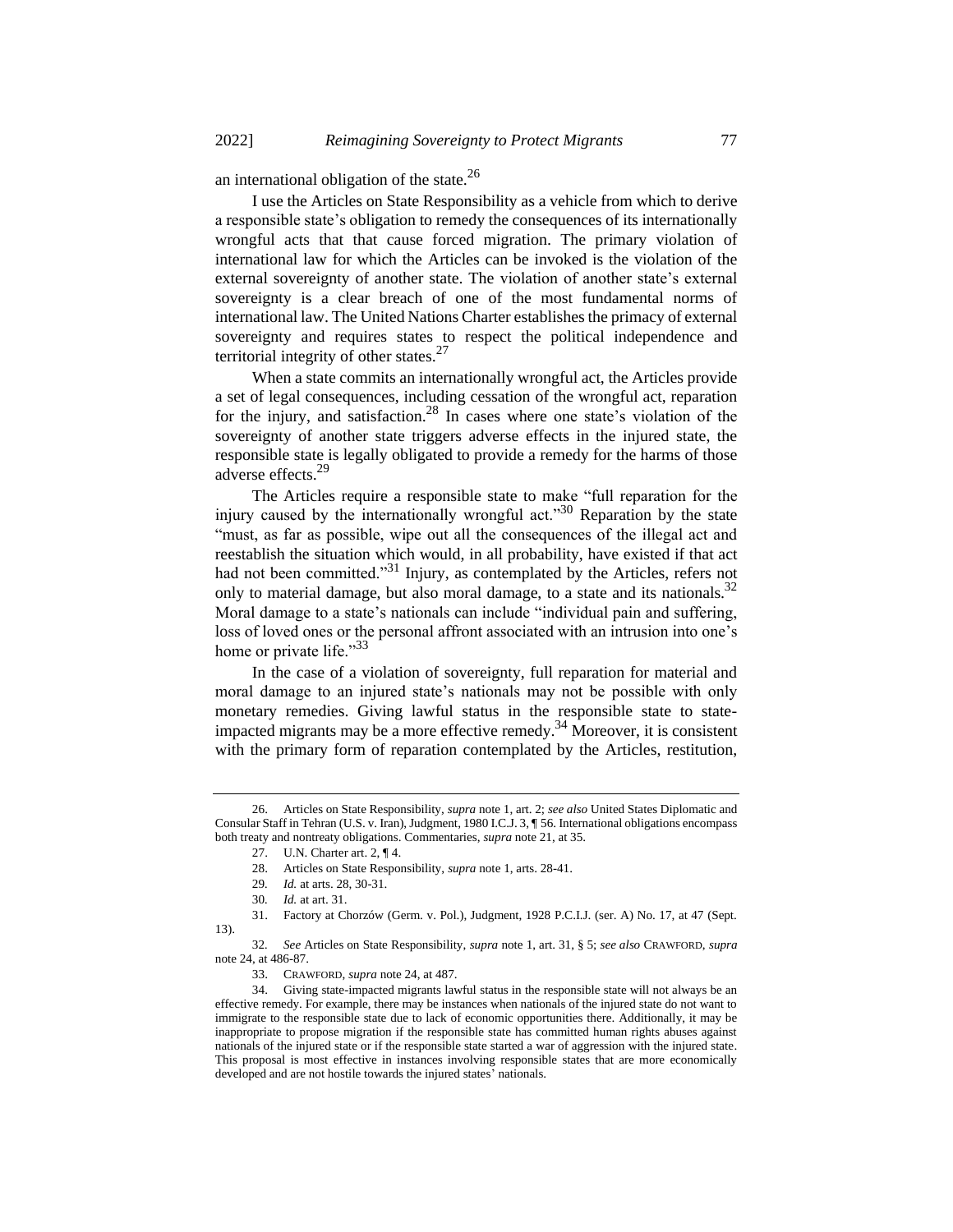an international obligation of the state.<sup>26</sup>

I use the Articles on State Responsibility as a vehicle from which to derive a responsible state's obligation to remedy the consequences of its internationally wrongful acts that that cause forced migration. The primary violation of international law for which the Articles can be invoked is the violation of the external sovereignty of another state. The violation of another state's external sovereignty is a clear breach of one of the most fundamental norms of international law. The United Nations Charter establishes the primacy of external sovereignty and requires states to respect the political independence and territorial integrity of other states.<sup>27</sup>

When a state commits an internationally wrongful act, the Articles provide a set of legal consequences, including cessation of the wrongful act, reparation for the injury, and satisfaction.<sup>28</sup> In cases where one state's violation of the sovereignty of another state triggers adverse effects in the injured state, the responsible state is legally obligated to provide a remedy for the harms of those adverse effects.<sup>29</sup>

The Articles require a responsible state to make "full reparation for the injury caused by the internationally wrongful act.<sup> $30$ </sup> Reparation by the state "must, as far as possible, wipe out all the consequences of the illegal act and reestablish the situation which would, in all probability, have existed if that act had not been committed."<sup>31</sup> Injury, as contemplated by the Articles, refers not only to material damage, but also moral damage, to a state and its nationals.<sup>32</sup> Moral damage to a state's nationals can include "individual pain and suffering, loss of loved ones or the personal affront associated with an intrusion into one's home or private life."<sup>33</sup>

In the case of a violation of sovereignty, full reparation for material and moral damage to an injured state's nationals may not be possible with only monetary remedies. Giving lawful status in the responsible state to stateimpacted migrants may be a more effective remedy.<sup>34</sup> Moreover, it is consistent with the primary form of reparation contemplated by the Articles, restitution,

<sup>26.</sup> Articles on State Responsibility, *supra* note 1, art. 2; *see also* United States Diplomatic and Consular Staff in Tehran (U.S. v. Iran), Judgment, 1980 I.C.J. 3, ¶ 56. International obligations encompass both treaty and nontreaty obligations. Commentaries, *supra* note 21, at 35.

<sup>27.</sup> U.N. Charter art. 2, ¶ 4.

<sup>28.</sup> Articles on State Responsibility, *supra* note 1, arts. 28-41.

<sup>29</sup>*. Id.* at arts. 28, 30-31.

<sup>30</sup>*. Id.* at art. 31.

<sup>31.</sup> Factory at Chorzów (Germ. v. Pol.), Judgment, 1928 P.C.I.J. (ser. A) No. 17, at 47 (Sept. 13).

<sup>32</sup>*. See* Articles on State Responsibility, *supra* note 1, art. 31, § 5; *see also* CRAWFORD, *supra*  note 24, at 486-87.

<sup>33.</sup> CRAWFORD, *supra* note 24, at 487.

<sup>34.</sup> Giving state-impacted migrants lawful status in the responsible state will not always be an effective remedy. For example, there may be instances when nationals of the injured state do not want to immigrate to the responsible state due to lack of economic opportunities there. Additionally, it may be inappropriate to propose migration if the responsible state has committed human rights abuses against nationals of the injured state or if the responsible state started a war of aggression with the injured state. This proposal is most effective in instances involving responsible states that are more economically developed and are not hostile towards the injured states' nationals.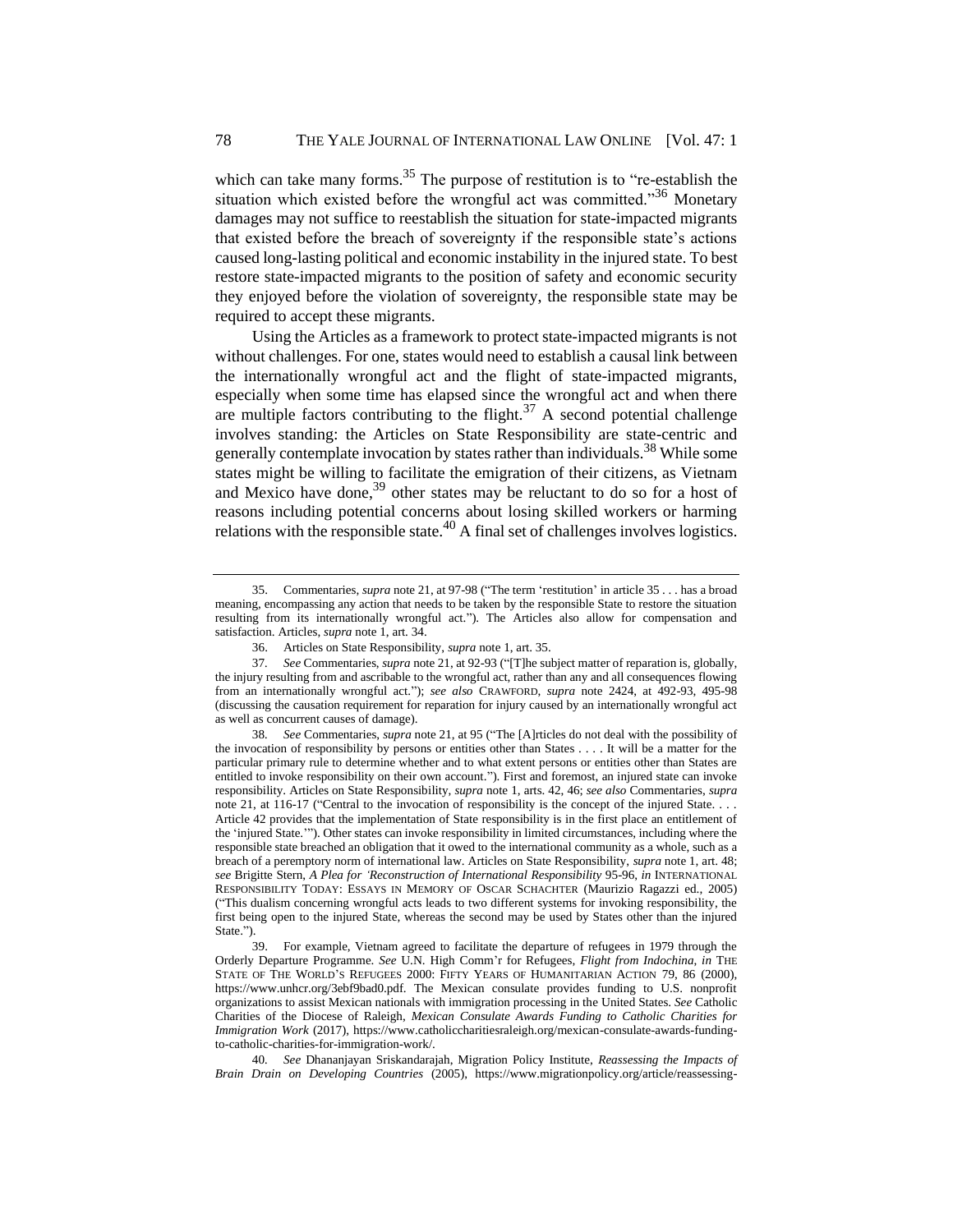which can take many forms. $35$  The purpose of restitution is to "re-establish the situation which existed before the wrongful act was committed."<sup>36</sup> Monetary damages may not suffice to reestablish the situation for state-impacted migrants that existed before the breach of sovereignty if the responsible state's actions caused long-lasting political and economic instability in the injured state. To best restore state-impacted migrants to the position of safety and economic security they enjoyed before the violation of sovereignty, the responsible state may be required to accept these migrants.

Using the Articles as a framework to protect state-impacted migrants is not without challenges. For one, states would need to establish a causal link between the internationally wrongful act and the flight of state-impacted migrants, especially when some time has elapsed since the wrongful act and when there are multiple factors contributing to the flight.<sup>37</sup> A second potential challenge involves standing: the Articles on State Responsibility are state-centric and generally contemplate invocation by states rather than individuals.<sup>38</sup> While some states might be willing to facilitate the emigration of their citizens, as Vietnam and Mexico have done,  $39$  other states may be reluctant to do so for a host of reasons including potential concerns about losing skilled workers or harming relations with the responsible state.<sup>40</sup> A final set of challenges involves logistics.

<sup>35.</sup> Commentaries, *supra* note 21, at 97-98 ("The term 'restitution' in article 35 . . . has a broad meaning, encompassing any action that needs to be taken by the responsible State to restore the situation resulting from its internationally wrongful act."). The Articles also allow for compensation and satisfaction. Articles, *supra* note 1, art. 34.

<sup>36.</sup> Articles on State Responsibility, *supra* note 1, art. 35.

<sup>37</sup>*. See* Commentaries, *supra* note 21, at 92-93 ("[T]he subject matter of reparation is, globally, the injury resulting from and ascribable to the wrongful act, rather than any and all consequences flowing from an internationally wrongful act."); *see also* CRAWFORD, *supra* note 2[424,](#page-6-0) at 492-93, 495-98 (discussing the causation requirement for reparation for injury caused by an internationally wrongful act as well as concurrent causes of damage).

<sup>38</sup>*. See* Commentaries, *supra* note 21, at 95 ("The [A]rticles do not deal with the possibility of the invocation of responsibility by persons or entities other than States . . . . It will be a matter for the particular primary rule to determine whether and to what extent persons or entities other than States are entitled to invoke responsibility on their own account."). First and foremost, an injured state can invoke responsibility. Articles on State Responsibility, *supra* note 1, arts. 42, 46; *see also* Commentaries, *supra* note 21, at 116-17 ("Central to the invocation of responsibility is the concept of the injured State. . . . Article 42 provides that the implementation of State responsibility is in the first place an entitlement of the 'injured State.'"). Other states can invoke responsibility in limited circumstances, including where the responsible state breached an obligation that it owed to the international community as a whole, such as a breach of a peremptory norm of international law. Articles on State Responsibility, *supra* note 1, art. 48; *see* Brigitte Stern, *A Plea for 'Reconstruction of International Responsibility* 95-96, *in* INTERNATIONAL RESPONSIBILITY TODAY: ESSAYS IN MEMORY OF OSCAR SCHACHTER (Maurizio Ragazzi ed., 2005) ("This dualism concerning wrongful acts leads to two different systems for invoking responsibility, the first being open to the injured State, whereas the second may be used by States other than the injured State.").

<sup>39.</sup> For example, Vietnam agreed to facilitate the departure of refugees in 1979 through the Orderly Departure Programme. *See* U.N. High Comm'r for Refugees, *Flight from Indochina*, *in* THE STATE OF THE WORLD'S REFUGEES 2000: FIFTY YEARS OF HUMANITARIAN ACTION 79, 86 (2000), https://www.unhcr.org/3ebf9bad0.pdf. The Mexican consulate provides funding to U.S. nonprofit organizations to assist Mexican nationals with immigration processing in the United States. *See* Catholic Charities of the Diocese of Raleigh, *Mexican Consulate Awards Funding to Catholic Charities for Immigration Work* (2017), https://www.catholiccharitiesraleigh.org/mexican-consulate-awards-fundingto-catholic-charities-for-immigration-work/.

<sup>40</sup>*. See* Dhananjayan Sriskandarajah, Migration Policy Institute, *Reassessing the Impacts of Brain Drain on Developing Countries* (2005), https://www.migrationpolicy.org/article/reassessing-